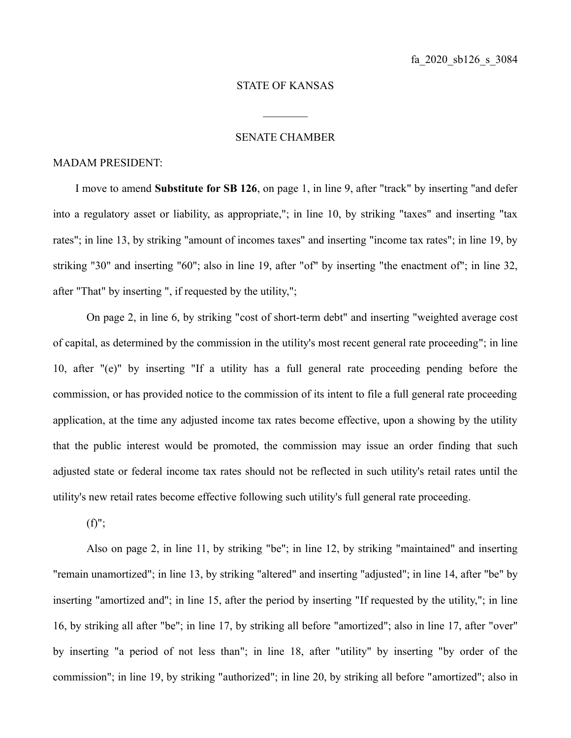## STATE OF KANSAS

 $\frac{1}{2}$ 

## SENATE CHAMBER

## MADAM PRESIDENT:

I move to amend **Substitute for SB 126**, on page 1, in line 9, after "track" by inserting "and defer into a regulatory asset or liability, as appropriate,"; in line 10, by striking "taxes" and inserting "tax rates"; in line 13, by striking "amount of incomes taxes" and inserting "income tax rates"; in line 19, by striking "30" and inserting "60"; also in line 19, after "of" by inserting "the enactment of"; in line 32, after "That" by inserting ", if requested by the utility,";

On page 2, in line 6, by striking "cost of short-term debt" and inserting "weighted average cost of capital, as determined by the commission in the utility's most recent general rate proceeding"; in line 10, after "(e)" by inserting "If a utility has a full general rate proceeding pending before the commission, or has provided notice to the commission of its intent to file a full general rate proceeding application, at the time any adjusted income tax rates become effective, upon a showing by the utility that the public interest would be promoted, the commission may issue an order finding that such adjusted state or federal income tax rates should not be reflected in such utility's retail rates until the utility's new retail rates become effective following such utility's full general rate proceeding.

 $(f)$ ";

Also on page 2, in line 11, by striking "be"; in line 12, by striking "maintained" and inserting "remain unamortized"; in line 13, by striking "altered" and inserting "adjusted"; in line 14, after "be" by inserting "amortized and"; in line 15, after the period by inserting "If requested by the utility,"; in line 16, by striking all after "be"; in line 17, by striking all before "amortized"; also in line 17, after "over" by inserting "a period of not less than"; in line 18, after "utility" by inserting "by order of the commission"; in line 19, by striking "authorized"; in line 20, by striking all before "amortized"; also in